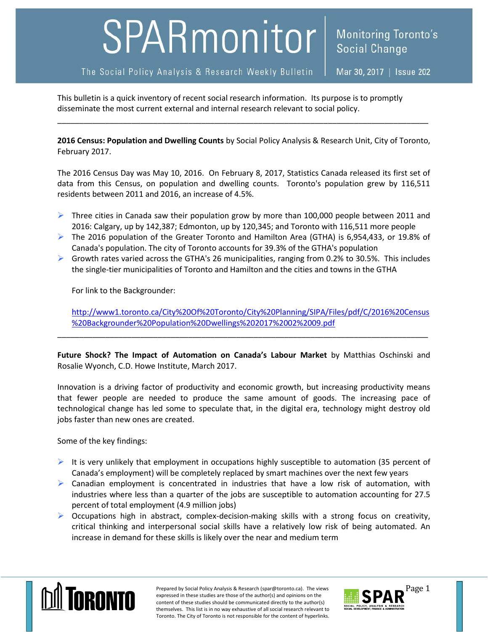## SPARmonitor

The Social Policy Analysis & Research Weekly Bulletin

Mar 30, 2017 | Issue 202

Social Change

**Monitoring Toronto's** 

This bulletin is a quick inventory of recent social research information. Its purpose is to promptly disseminate the most current external and internal research relevant to social policy.

**2016 Census: Population and Dwelling Counts** by Social Policy Analysis & Research Unit, City of Toronto, February 2017.

\_\_\_\_\_\_\_\_\_\_\_\_\_\_\_\_\_\_\_\_\_\_\_\_\_\_\_\_\_\_\_\_\_\_\_\_\_\_\_\_\_\_\_\_\_\_\_\_\_\_\_\_\_\_\_\_\_\_\_\_\_\_\_\_\_\_\_\_\_\_\_\_\_\_\_\_\_\_\_\_\_\_\_\_\_

The 2016 Census Day was May 10, 2016. On February 8, 2017, Statistics Canada released its first set of data from this Census, on population and dwelling counts. Toronto's population grew by 116,511 residents between 2011 and 2016, an increase of 4.5%.

- $\triangleright$  Three cities in Canada saw their population grow by more than 100,000 people between 2011 and 2016: Calgary, up by 142,387; Edmonton, up by 120,345; and Toronto with 116,511 more people
- ▶ The 2016 population of the Greater Toronto and Hamilton Area (GTHA) is 6,954,433, or 19.8% of Canada's population. The city of Toronto accounts for 39.3% of the GTHA's population
- $\triangleright$  Growth rates varied across the GTHA's 26 municipalities, ranging from 0.2% to 30.5%. This includes the single-tier municipalities of Toronto and Hamilton and the cities and towns in the GTHA

For link to the Backgrounder:

[http://www1.toronto.ca/City%20Of%20Toronto/City%20Planning/SIPA/Files/pdf/C/2016%20Census](http://www1.toronto.ca/City%20Of%20Toronto/City%20Planning/SIPA/Files/pdf/C/2016%20Census%20Backgrounder%20Population%20Dwellings%202017%2002%2009.pdf) [%20Backgrounder%20Population%20Dwellings%202017%2002%2009.pdf](http://www1.toronto.ca/City%20Of%20Toronto/City%20Planning/SIPA/Files/pdf/C/2016%20Census%20Backgrounder%20Population%20Dwellings%202017%2002%2009.pdf)

**Future Shock? The Impact of Automation on Canada's Labour Market** by Matthias Oschinski and Rosalie Wyonch, C.D. Howe Institute, March 2017.

\_\_\_\_\_\_\_\_\_\_\_\_\_\_\_\_\_\_\_\_\_\_\_\_\_\_\_\_\_\_\_\_\_\_\_\_\_\_\_\_\_\_\_\_\_\_\_\_\_\_\_\_\_\_\_\_\_\_\_\_\_\_\_\_\_\_\_\_\_\_\_\_\_\_\_\_\_\_\_\_\_\_\_\_\_

Innovation is a driving factor of productivity and economic growth, but increasing productivity means that fewer people are needed to produce the same amount of goods. The increasing pace of technological change has led some to speculate that, in the digital era, technology might destroy old jobs faster than new ones are created.

Some of the key findings:

- It is very unlikely that employment in occupations highly susceptible to automation (35 percent of Canada's employment) will be completely replaced by smart machines over the next few years
- $\triangleright$  Canadian employment is concentrated in industries that have a low risk of automation, with industries where less than a quarter of the jobs are susceptible to automation accounting for 27.5 percent of total employment (4.9 million jobs)
- $\triangleright$  Occupations high in abstract, complex-decision-making skills with a strong focus on creativity, critical thinking and interpersonal social skills have a relatively low risk of being automated. An increase in demand for these skills is likely over the near and medium term



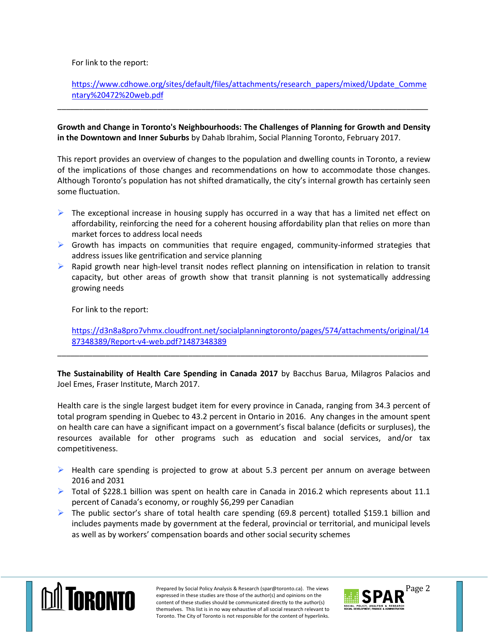## For link to the report:

[https://www.cdhowe.org/sites/default/files/attachments/research\\_papers/mixed/Update\\_Comme](https://www.cdhowe.org/sites/default/files/attachments/research_papers/mixed/Update_Commentary%20472%20web.pdf) [ntary%20472%20web.pdf](https://www.cdhowe.org/sites/default/files/attachments/research_papers/mixed/Update_Commentary%20472%20web.pdf)

**Growth and Change in Toronto's Neighbourhoods: The Challenges of Planning for Growth and Density in the Downtown and Inner Suburbs** by Dahab Ibrahim, Social Planning Toronto, February 2017.

\_\_\_\_\_\_\_\_\_\_\_\_\_\_\_\_\_\_\_\_\_\_\_\_\_\_\_\_\_\_\_\_\_\_\_\_\_\_\_\_\_\_\_\_\_\_\_\_\_\_\_\_\_\_\_\_\_\_\_\_\_\_\_\_\_\_\_\_\_\_\_\_\_\_\_\_\_\_\_\_\_\_\_\_\_

This report provides an overview of changes to the population and dwelling counts in Toronto, a review of the implications of those changes and recommendations on how to accommodate those changes. Although Toronto's population has not shifted dramatically, the city's internal growth has certainly seen some fluctuation.

- $\triangleright$  The exceptional increase in housing supply has occurred in a way that has a limited net effect on affordability, reinforcing the need for a coherent housing affordability plan that relies on more than market forces to address local needs
- $\triangleright$  Growth has impacts on communities that require engaged, community-informed strategies that address issues like gentrification and service planning
- $\triangleright$  Rapid growth near high-level transit nodes reflect planning on intensification in relation to transit capacity, but other areas of growth show that transit planning is not systematically addressing growing needs

For link to the report:

[https://d3n8a8pro7vhmx.cloudfront.net/socialplanningtoronto/pages/574/attachments/original/14](https://d3n8a8pro7vhmx.cloudfront.net/socialplanningtoronto/pages/574/attachments/original/1487348389/Report-v4-web.pdf?1487348389) [87348389/Report-v4-web.pdf?1487348389](https://d3n8a8pro7vhmx.cloudfront.net/socialplanningtoronto/pages/574/attachments/original/1487348389/Report-v4-web.pdf?1487348389)

**The Sustainability of Health Care Spending in Canada 2017** by Bacchus Barua, Milagros Palacios and Joel Emes, Fraser Institute, March 2017.

\_\_\_\_\_\_\_\_\_\_\_\_\_\_\_\_\_\_\_\_\_\_\_\_\_\_\_\_\_\_\_\_\_\_\_\_\_\_\_\_\_\_\_\_\_\_\_\_\_\_\_\_\_\_\_\_\_\_\_\_\_\_\_\_\_\_\_\_\_\_\_\_\_\_\_\_\_\_\_\_\_\_\_\_\_

Health care is the single largest budget item for every province in Canada, ranging from 34.3 percent of total program spending in Quebec to 43.2 percent in Ontario in 2016. Any changes in the amount spent on health care can have a significant impact on a government's fiscal balance (deficits or surpluses), the resources available for other programs such as education and social services, and/or tax competitiveness.

- $\triangleright$  Health care spending is projected to grow at about 5.3 percent per annum on average between 2016 and 2031
- $\triangleright$  Total of \$228.1 billion was spent on health care in Canada in 2016.2 which represents about 11.1 percent of Canada's economy, or roughly \$6,299 per Canadian
- The public sector's share of total health care spending (69.8 percent) totalled \$159.1 billion and includes payments made by government at the federal, provincial or territorial, and municipal levels as well as by workers' compensation boards and other social security schemes